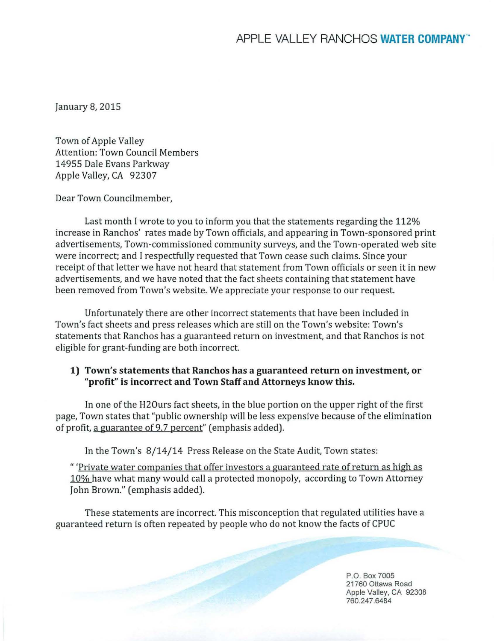January 8, 2015

Town of Apple Valley Attention: Town Council Members 14955 Dale Evans Parkway Apple Valley, CA 92307

Dear Town Councilmember,

Last month I wrote to you to inform you that the statements regarding the 112% increase in Ranchos' rates made by Town officials, and appearing in Town-sponsored print advertisements, Town-commissioned community surveys, and the Town-operated web site were incorrect; and I respectfully requested that Town cease such claims. Since your receipt of that letter we have not heard that statement from Town officials or seen it in new advertisements, and we have noted that the fact sheets containing that statement have been removed from Town's website. We appreciate your response to our request.

Unfortunately there are other incorrect statements that have been included in Town's fact sheets and press releases which are still on the Town's website: Town's statements that Ranchos has a guaranteed return on investment, and that Ranchos is not eligible for grant-funding are both incorrect.

## **1) Town's statements that Ranchos has a guaranteed return on investment, or "profit" is incorrect and Town Staff and Attorneys know this.**

In one of the H20urs fact sheets, in the blue portion on the upper right of the first page, Town states that "public ownership will be less expensive because of the elimination of profit, a guarantee of 9.7 percent" (emphasis added).

In the Town's 8/14/14 Press Release on the State Audit, Town states:

" 'Private water companies that offer investors a guaranteed rate of return as high as 10% have what many would call a protected monopoly, according to Town Attorney John Brown." (emphasis added).

These statements are incorrect. This misconception that regulated utilities have a guaranteed return is often repeated by people who do not know the facts of CPUC

> P.O. Box 7005 21760 Ottawa Road Apple Valley, CA 92308 760.247 .6484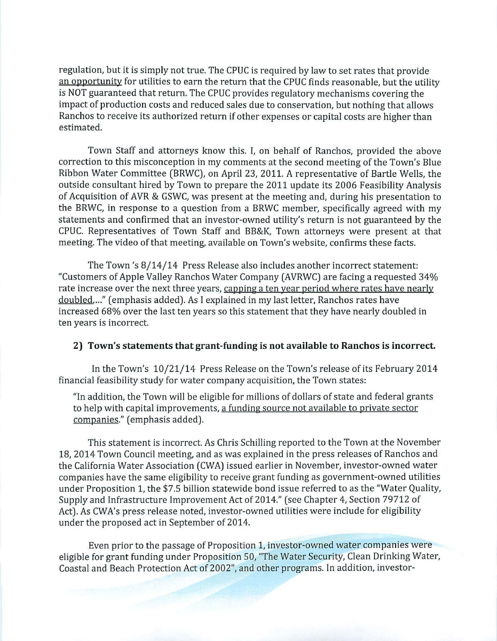regulation, but it is simply not true. The CPUC is required by law to set rates that provide an opportunity for utilities to earn the return that the CPUC finds reasonable, but the utility is NOT guaranteed that return. The CPUC provides regulatory mechanisms covering the impact of production costs and reduced sales due to conservation, but nothing that allows Ranchos to receive its authorized return if other expenses or capital costs are higher than estimated.

Town Staff and attorneys know this. I, on behalf of Ranchos, provided the above correction to this misconception in my comments at the second meeting of the Town's Blue Ribbon Water Committee (BRWC), on April 23, 2011. A representative of Bartle Wells, the outside consultant hired by Town to prepare the 2011 update its 2006 Feasibility Analysis of Acquisition of AVR & GSWC, was present at the meeting and, during his presentation to the BRWC, in response to a question from a BRWC member, specifically agreed with my statements and confirmed that an investor-owned utility's return is not guaranteed by the CPUC. Representatives of Town Staff and BB&K, Town attorneys were present at that meeting. The video of that meeting, available on Town's website, confirms these facts.

The Town's 8/14/14 Press Release also includes another incorrect statement: "Customers of Apple Valley Ranchos Water Company (AVRWC) are facing a requested 34% rate increase over the next three years, capping a ten year period where rates have nearly doubled,..." (emphasis added). As I explained in my last letter, Ranchos rates have increased 68% over the last ten years so this statement that they have nearly doubled in ten years is incorrect.

## **2) Town's statements that grant-funding is not available to Ranchos is incorrect.**

In the Town's 10/21/14 Press Release on the Town's release of its February 2014 financial feasibility study for water company acquisition, the Town states:

"In addition, the Town will be eligible for millions of dollars of state and federal grants to help with capital improvements, a funding source not available to private sector companies." (emphasis added).

This statement is incorrect. As Chris Schilling reported to the Town at the November 18, 2014 Town Council meeting, and as was explained in the press releases of Ranchos and the California Water Association (CWA) issued earlier in November, investor-owned water companies have the same eligibility to receive grant funding as government-owned utilities under Proposition 1, the \$7.5 billion statewide bond issue referred to as the "Water Quality, Supply and Infrastructure Improvement Act of 2014." (see Chapter 4, Section 79712 of Act). As CWA's press release noted, investor-owned utilities were include for eligibility under the proposed act in September of 2014.

Even prior to the passage of Proposition 1, investor-owned water companies were eligible for grant funding under Proposition 50, "The Water Security, Clean Drinking Water, Coastal and Beach Protection Act of 2002", and other programs . In addition, investor